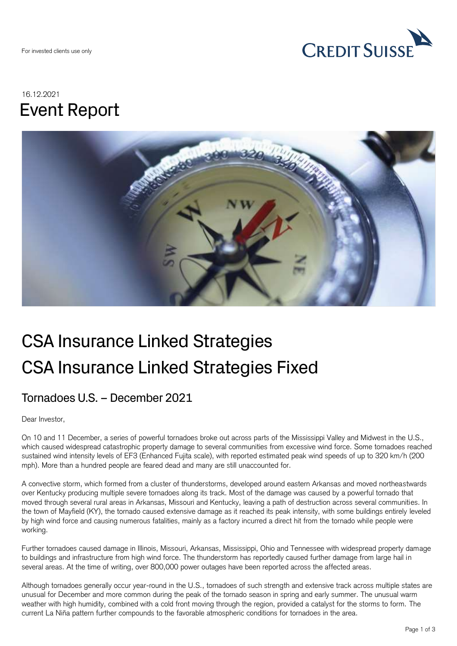

## 16.12.2021 Event Report



# CSA Insurance Linked Strategies CSA Insurance Linked Strategies Fixed

### Tornadoes U.S. – December 2021

Dear Investor,

On 10 and 11 December, a series of powerful tornadoes broke out across parts of the Mississippi Valley and Midwest in the U.S., which caused widespread catastrophic property damage to several communities from excessive wind force. Some tornadoes reached sustained wind intensity levels of EF3 (Enhanced Fujita scale), with reported estimated peak wind speeds of up to 320 km/h (200 mph). More than a hundred people are feared dead and many are still unaccounted for.

A convective storm, which formed from a cluster of thunderstorms, developed around eastern Arkansas and moved northeastwards over Kentucky producing multiple severe tornadoes along its track. Most of the damage was caused by a powerful tornado that moved through several rural areas in Arkansas, Missouri and Kentucky, leaving a path of destruction across several communities. In the town of Mayfield (KY), the tornado caused extensive damage as it reached its peak intensity, with some buildings entirely leveled by high wind force and causing numerous fatalities, mainly as a factory incurred a direct hit from the tornado while people were working.

Further tornadoes caused damage in Illinois, Missouri, Arkansas, Mississippi, Ohio and Tennessee with widespread property damage to buildings and infrastructure from high wind force. The thunderstorm has reportedly caused further damage from large hail in several areas. At the time of writing, over 800,000 power outages have been reported across the affected areas.

Although tornadoes generally occur year-round in the U.S., tornadoes of such strength and extensive track across multiple states are unusual for December and more common during the peak of the tornado season in spring and early summer. The unusual warm weather with high humidity, combined with a cold front moving through the region, provided a catalyst for the storms to form. The current La Niña pattern further compounds to the favorable atmospheric conditions for tornadoes in the area.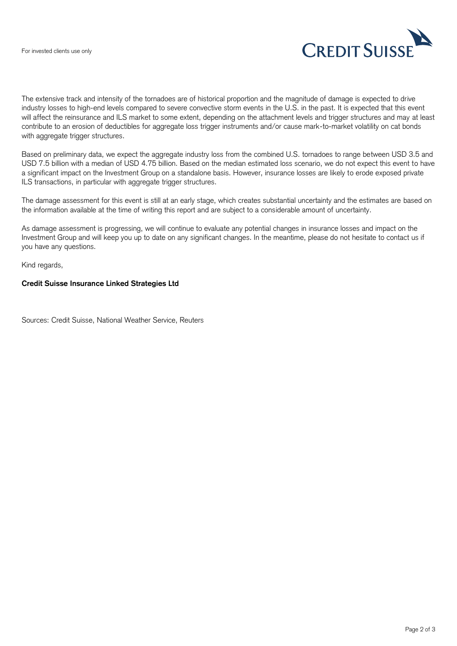

The extensive track and intensity of the tornadoes are of historical proportion and the magnitude of damage is expected to drive industry losses to high-end levels compared to severe convective storm events in the U.S. in the past. It is expected that this event will affect the reinsurance and ILS market to some extent, depending on the attachment levels and trigger structures and may at least contribute to an erosion of deductibles for aggregate loss trigger instruments and/or cause mark-to-market volatility on cat bonds with aggregate trigger structures.

Based on preliminary data, we expect the aggregate industry loss from the combined U.S. tornadoes to range between USD 3.5 and USD 7.5 billion with a median of USD 4.75 billion. Based on the median estimated loss scenario, we do not expect this event to have a significant impact on the Investment Group on a standalone basis. However, insurance losses are likely to erode exposed private ILS transactions, in particular with aggregate trigger structures.

The damage assessment for this event is still at an early stage, which creates substantial uncertainty and the estimates are based on the information available at the time of writing this report and are subject to a considerable amount of uncertainty.

As damage assessment is progressing, we will continue to evaluate any potential changes in insurance losses and impact on the Investment Group and will keep you up to date on any significant changes. In the meantime, please do not hesitate to contact us if you have any questions.

Kind regards,

#### **Credit Suisse Insurance Linked Strategies Ltd**

Sources: Credit Suisse, National Weather Service, Reuters